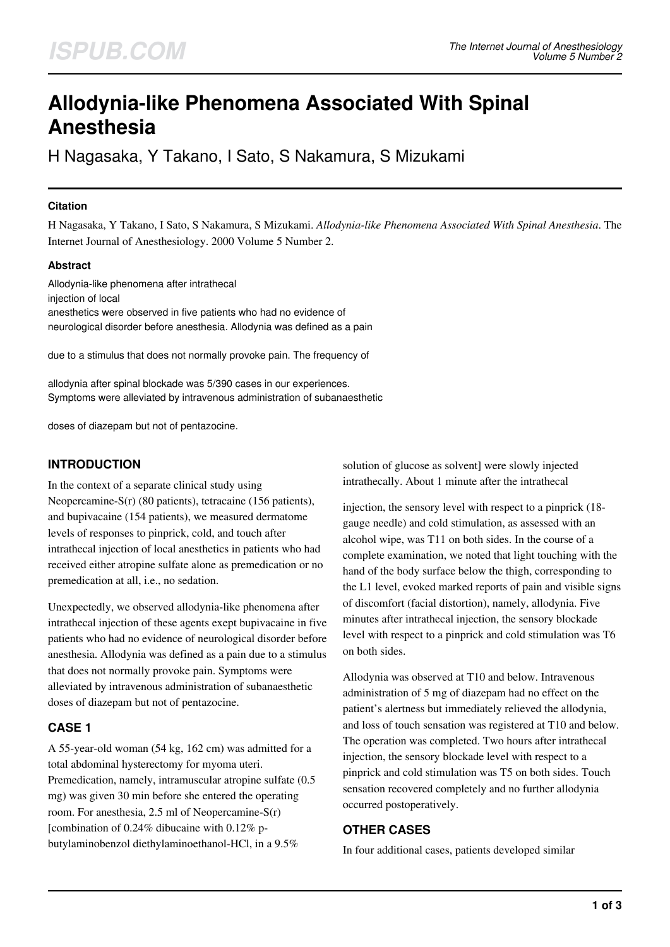# **Allodynia-like Phenomena Associated With Spinal Anesthesia**

H Nagasaka, Y Takano, I Sato, S Nakamura, S Mizukami

## **Citation**

H Nagasaka, Y Takano, I Sato, S Nakamura, S Mizukami. *Allodynia-like Phenomena Associated With Spinal Anesthesia*. The Internet Journal of Anesthesiology. 2000 Volume 5 Number 2.

## **Abstract**

Allodynia-like phenomena after intrathecal injection of local anesthetics were observed in five patients who had no evidence of neurological disorder before anesthesia. Allodynia was defined as a pain

due to a stimulus that does not normally provoke pain. The frequency of

allodynia after spinal blockade was 5/390 cases in our experiences. Symptoms were alleviated by intravenous administration of subanaesthetic

doses of diazepam but not of pentazocine.

# **INTRODUCTION**

In the context of a separate clinical study using Neopercamine-S(r) (80 patients), tetracaine (156 patients), and bupivacaine (154 patients), we measured dermatome levels of responses to pinprick, cold, and touch after intrathecal injection of local anesthetics in patients who had received either atropine sulfate alone as premedication or no premedication at all, i.e., no sedation.

Unexpectedly, we observed allodynia-like phenomena after intrathecal injection of these agents exept bupivacaine in five patients who had no evidence of neurological disorder before anesthesia. Allodynia was defined as a pain due to a stimulus that does not normally provoke pain. Symptoms were alleviated by intravenous administration of subanaesthetic doses of diazepam but not of pentazocine.

# **CASE 1**

A 55-year-old woman (54 kg, 162 cm) was admitted for a total abdominal hysterectomy for myoma uteri. Premedication, namely, intramuscular atropine sulfate (0.5 mg) was given 30 min before she entered the operating room. For anesthesia, 2.5 ml of Neopercamine-S(r) [combination of 0.24% dibucaine with 0.12% pbutylaminobenzol diethylaminoethanol-HCl, in a 9.5%

solution of glucose as solvent] were slowly injected intrathecally. About 1 minute after the intrathecal

injection, the sensory level with respect to a pinprick (18 gauge needle) and cold stimulation, as assessed with an alcohol wipe, was T11 on both sides. In the course of a complete examination, we noted that light touching with the hand of the body surface below the thigh, corresponding to the L1 level, evoked marked reports of pain and visible signs of discomfort (facial distortion), namely, allodynia. Five minutes after intrathecal injection, the sensory blockade level with respect to a pinprick and cold stimulation was T6 on both sides.

Allodynia was observed at T10 and below. Intravenous administration of 5 mg of diazepam had no effect on the patient's alertness but immediately relieved the allodynia, and loss of touch sensation was registered at T10 and below. The operation was completed. Two hours after intrathecal injection, the sensory blockade level with respect to a pinprick and cold stimulation was T5 on both sides. Touch sensation recovered completely and no further allodynia occurred postoperatively.

# **OTHER CASES**

In four additional cases, patients developed similar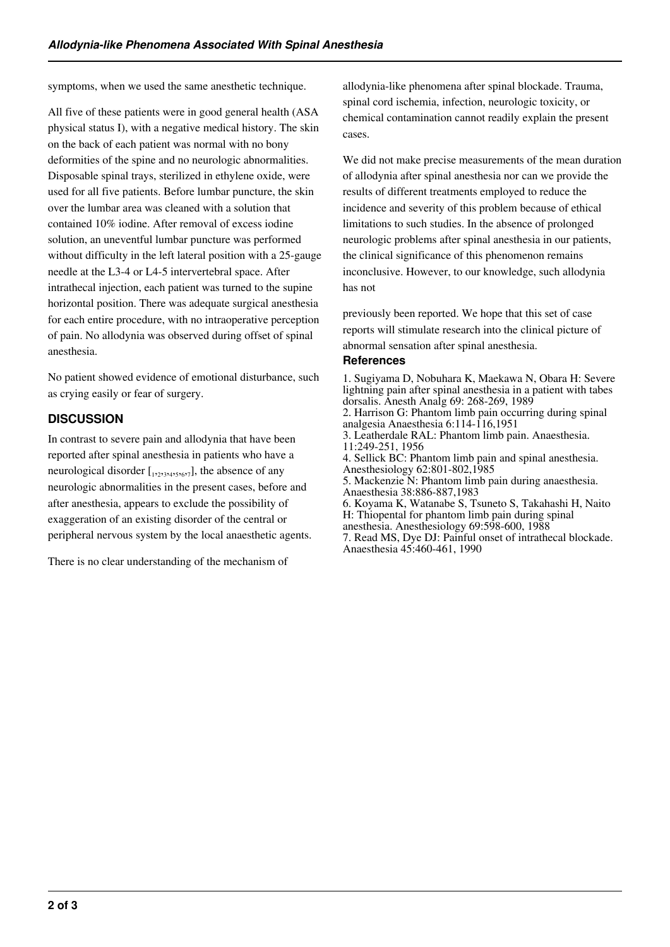symptoms, when we used the same anesthetic technique.

All five of these patients were in good general health (ASA physical status I), with a negative medical history. The skin on the back of each patient was normal with no bony deformities of the spine and no neurologic abnormalities. Disposable spinal trays, sterilized in ethylene oxide, were used for all five patients. Before lumbar puncture, the skin over the lumbar area was cleaned with a solution that contained 10% iodine. After removal of excess iodine solution, an uneventful lumbar puncture was performed without difficulty in the left lateral position with a 25-gauge needle at the L3-4 or L4-5 intervertebral space. After intrathecal injection, each patient was turned to the supine horizontal position. There was adequate surgical anesthesia for each entire procedure, with no intraoperative perception of pain. No allodynia was observed during offset of spinal anesthesia.

No patient showed evidence of emotional disturbance, such as crying easily or fear of surgery.

### **DISCUSSION**

In contrast to severe pain and allodynia that have been reported after spinal anesthesia in patients who have a neurological disorder  $[\,1, 2, 3, 4, 5, 6, 7]$ , the absence of any neurologic abnormalities in the present cases, before and after anesthesia, appears to exclude the possibility of exaggeration of an existing disorder of the central or peripheral nervous system by the local anaesthetic agents.

There is no clear understanding of the mechanism of

allodynia-like phenomena after spinal blockade. Trauma, spinal cord ischemia, infection, neurologic toxicity, or chemical contamination cannot readily explain the present cases.

We did not make precise measurements of the mean duration of allodynia after spinal anesthesia nor can we provide the results of different treatments employed to reduce the incidence and severity of this problem because of ethical limitations to such studies. In the absence of prolonged neurologic problems after spinal anesthesia in our patients, the clinical significance of this phenomenon remains inconclusive. However, to our knowledge, such allodynia has not

previously been reported. We hope that this set of case reports will stimulate research into the clinical picture of abnormal sensation after spinal anesthesia.

### **References**

1. Sugiyama D, Nobuhara K, Maekawa N, Obara H: Severe lightning pain after spinal anesthesia in a patient with tabes dorsalis. Anesth Analg 69: 268-269, 1989 2. Harrison G: Phantom limb pain occurring during spinal analgesia Anaesthesia 6:114-116,1951 3. Leatherdale RAL: Phantom limb pain. Anaesthesia. 11:249-251, 1956 4. Sellick BC: Phantom limb pain and spinal anesthesia. Anesthesiology 62:801-802,1985 5. Mackenzie N: Phantom limb pain during anaesthesia. Anaesthesia 38:886-887,1983 6. Koyama K, Watanabe S, Tsuneto S, Takahashi H, Naito H: Thiopental for phantom limb pain during spinal anesthesia. Anesthesiology 69:598-600, 1988 7. Read MS, Dye DJ: Painful onset of intrathecal blockade. Anaesthesia 45:460-461, 1990

**2 of 3**